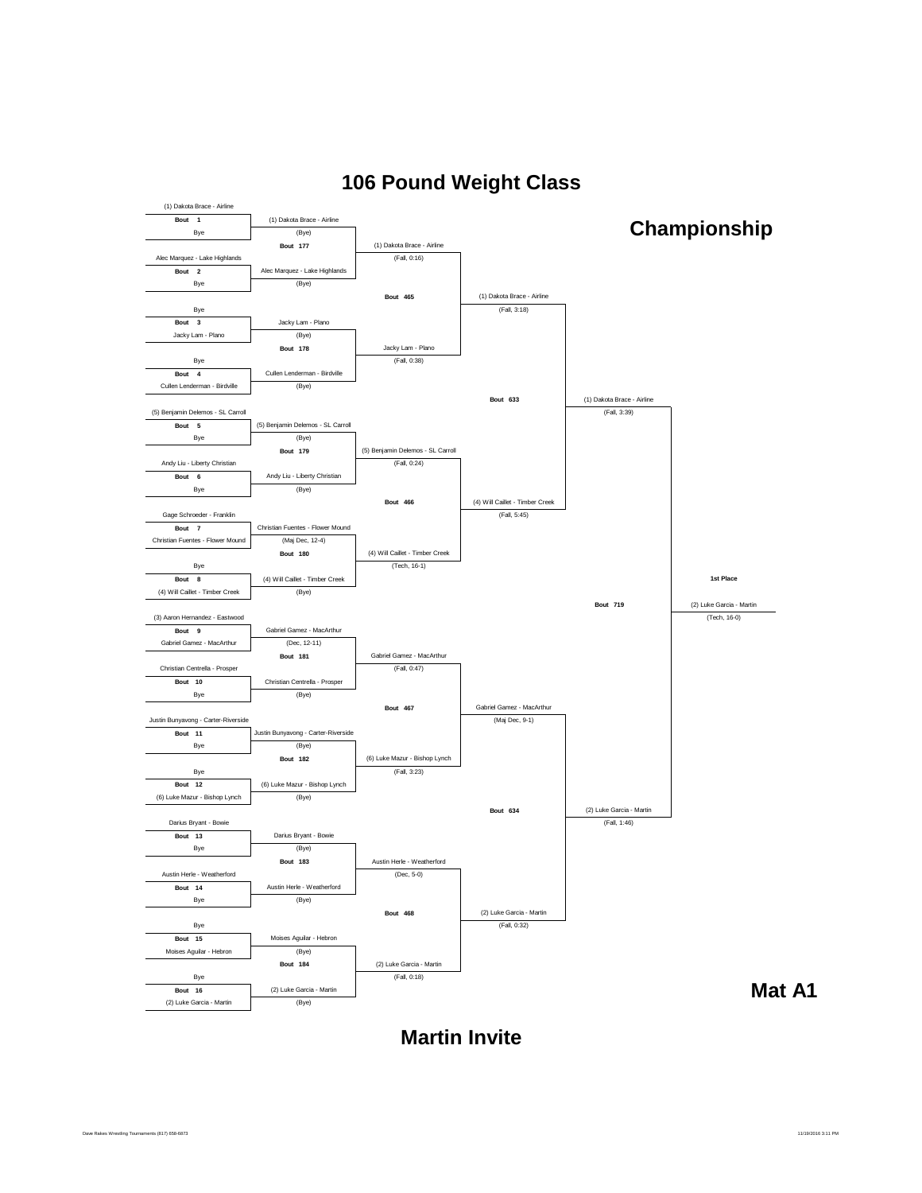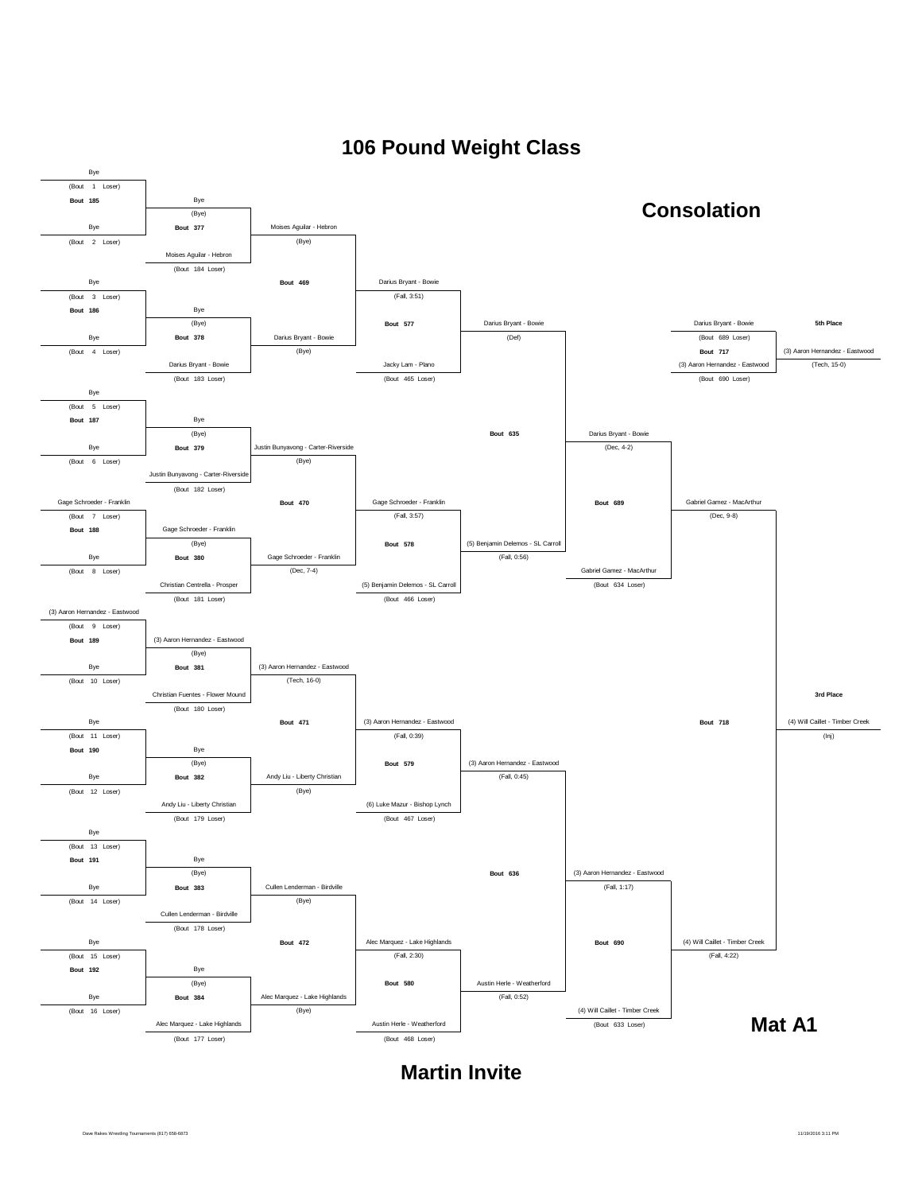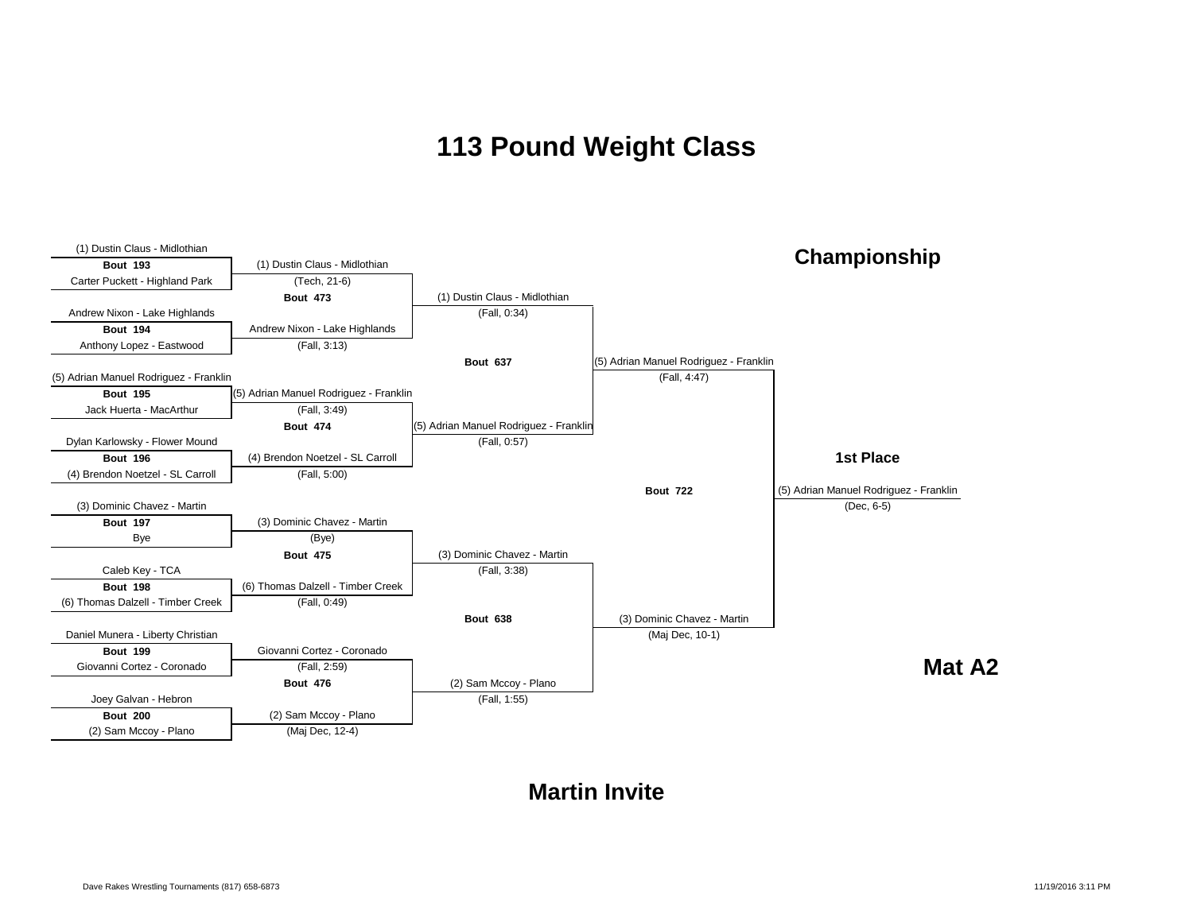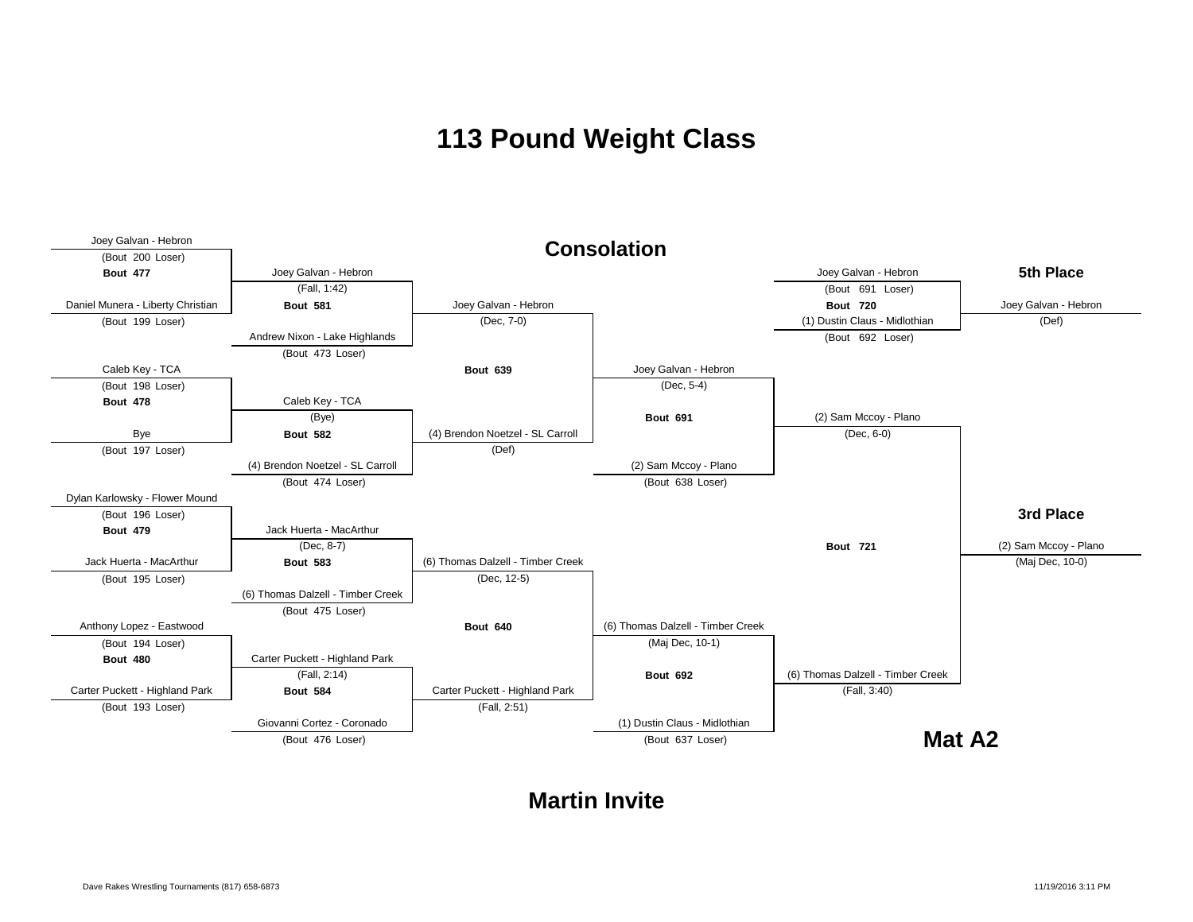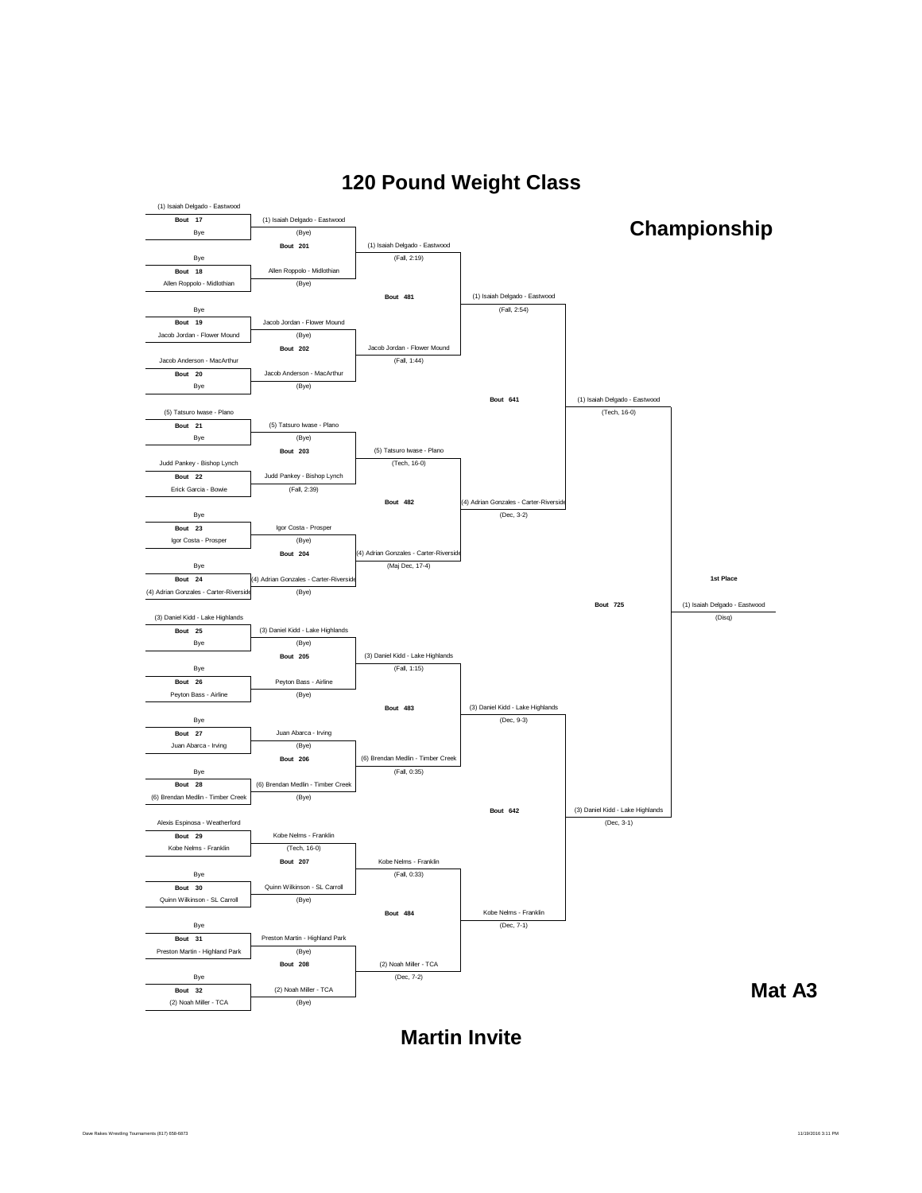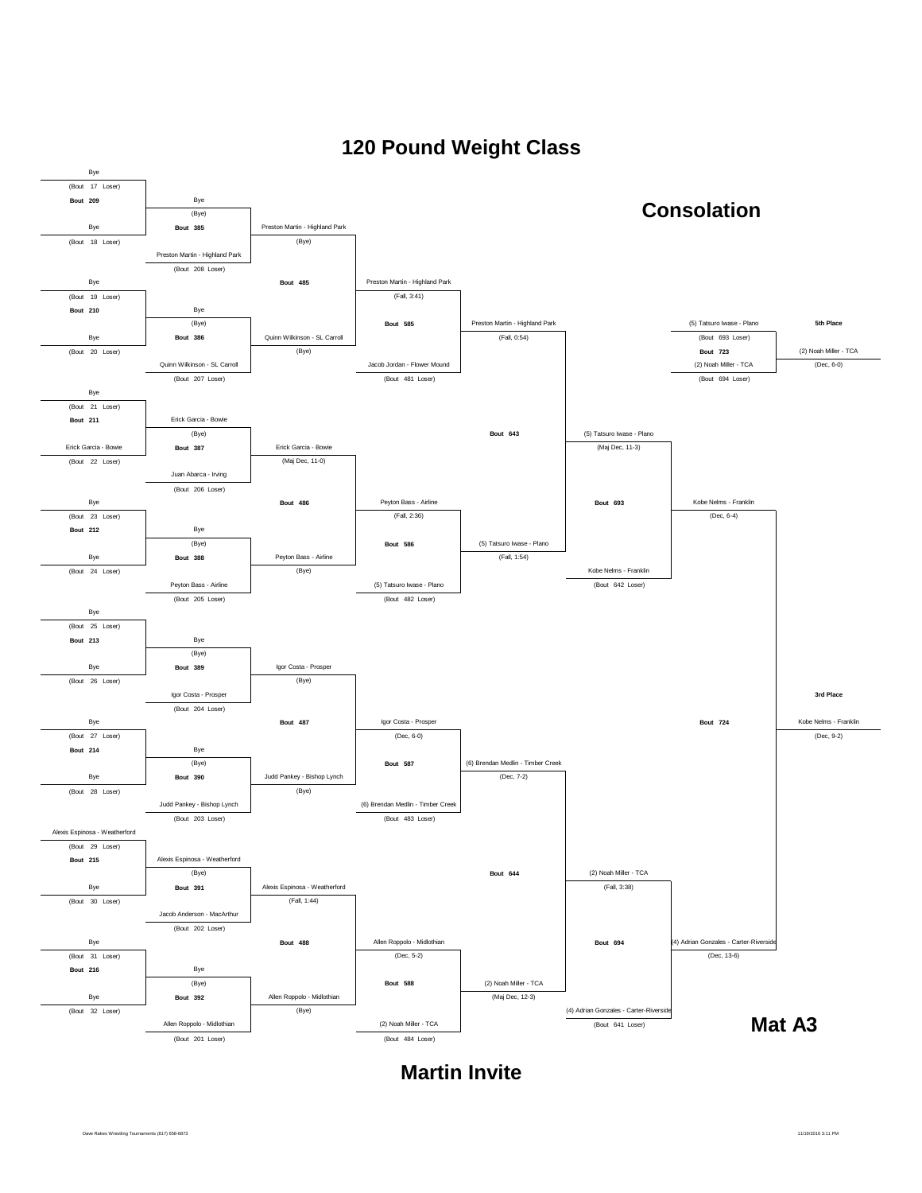

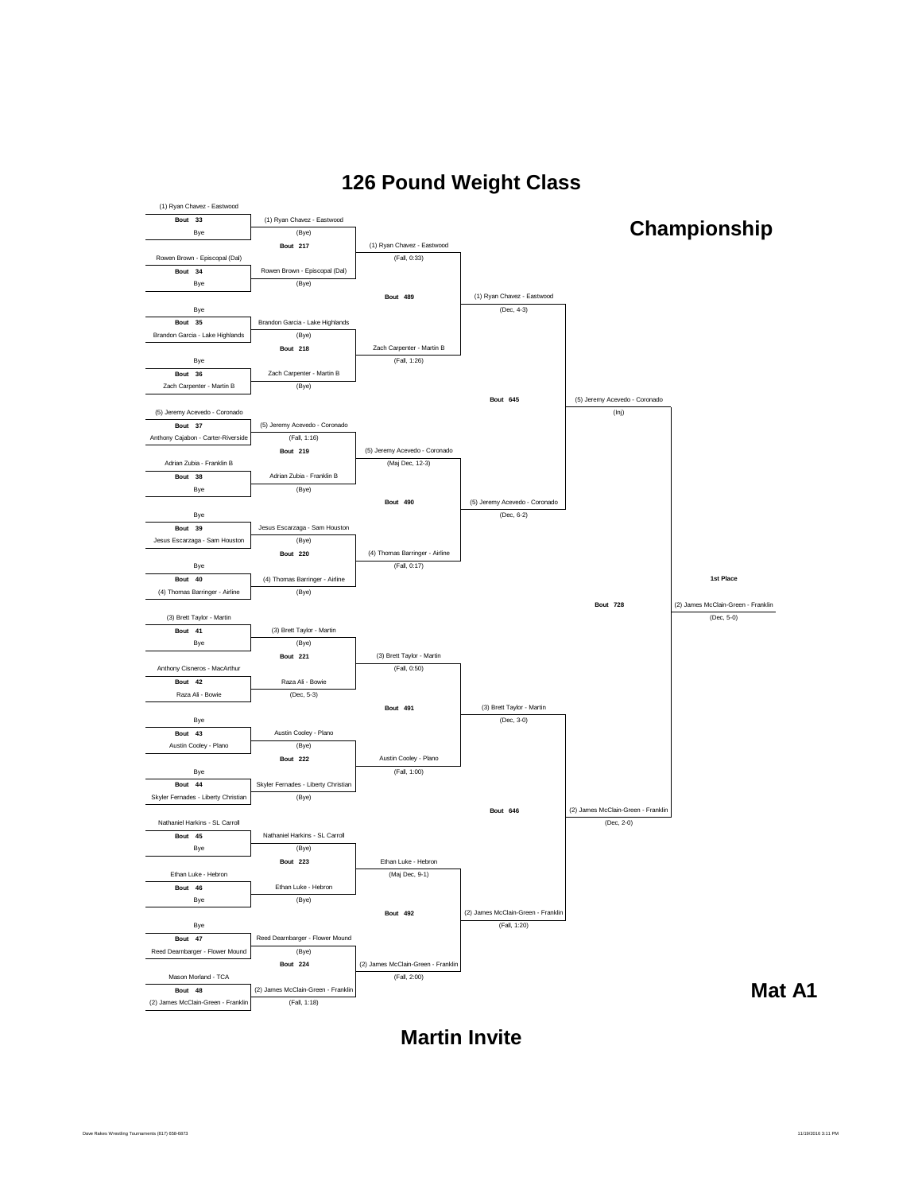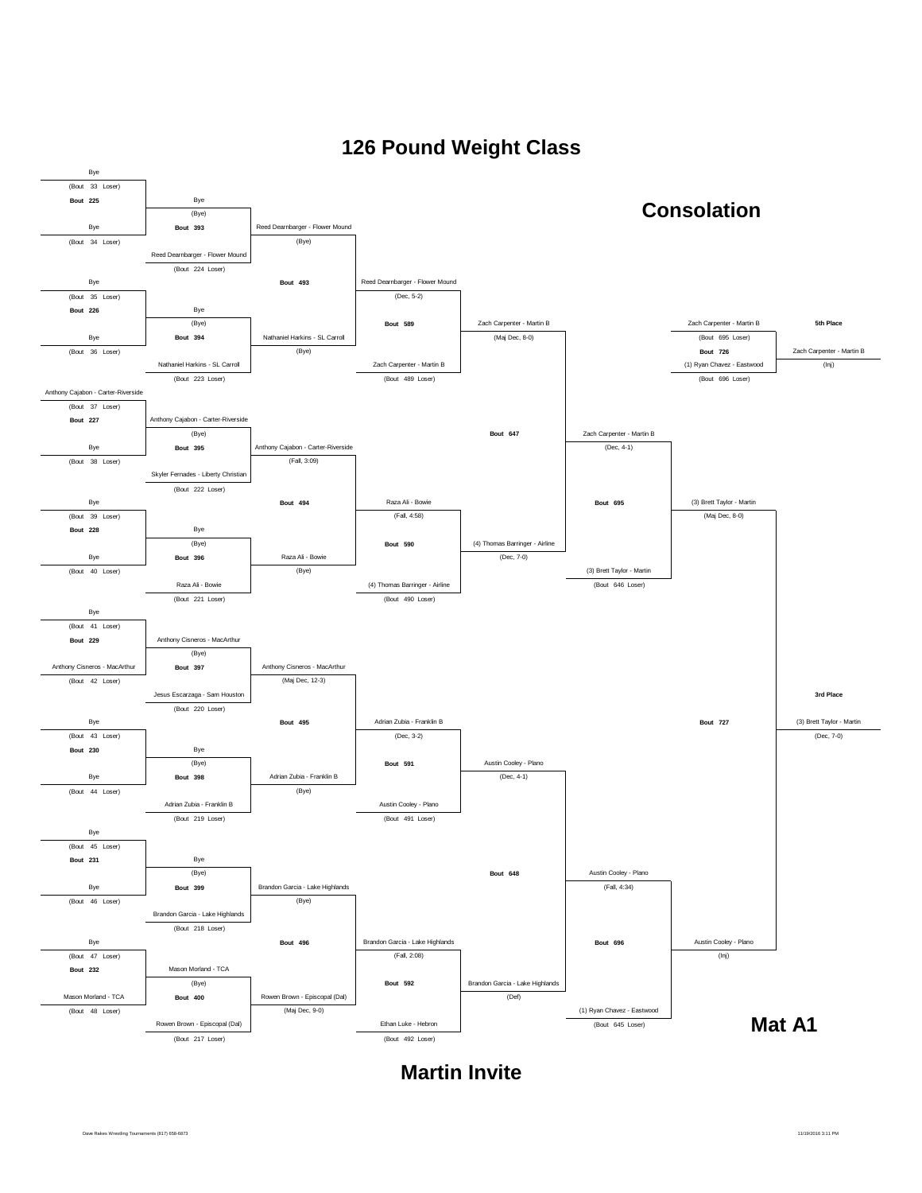

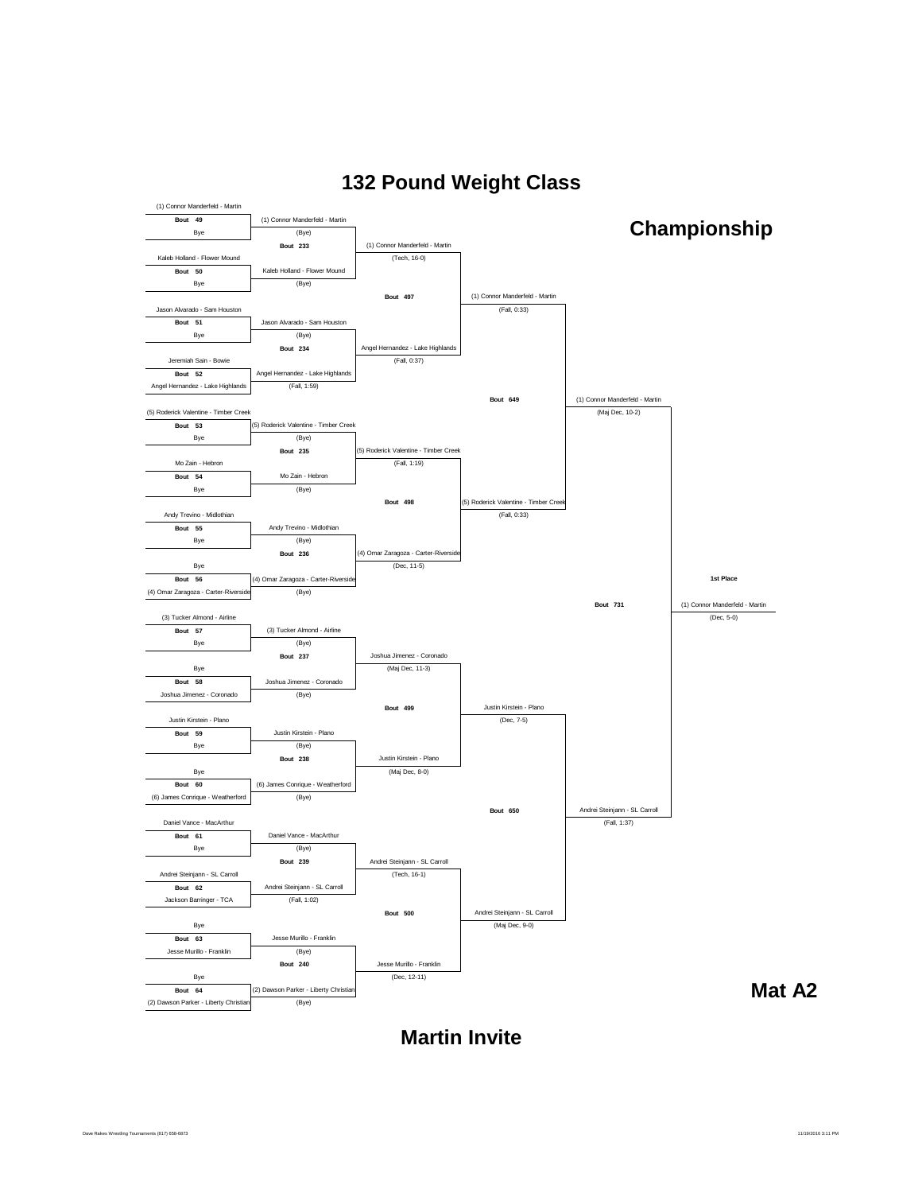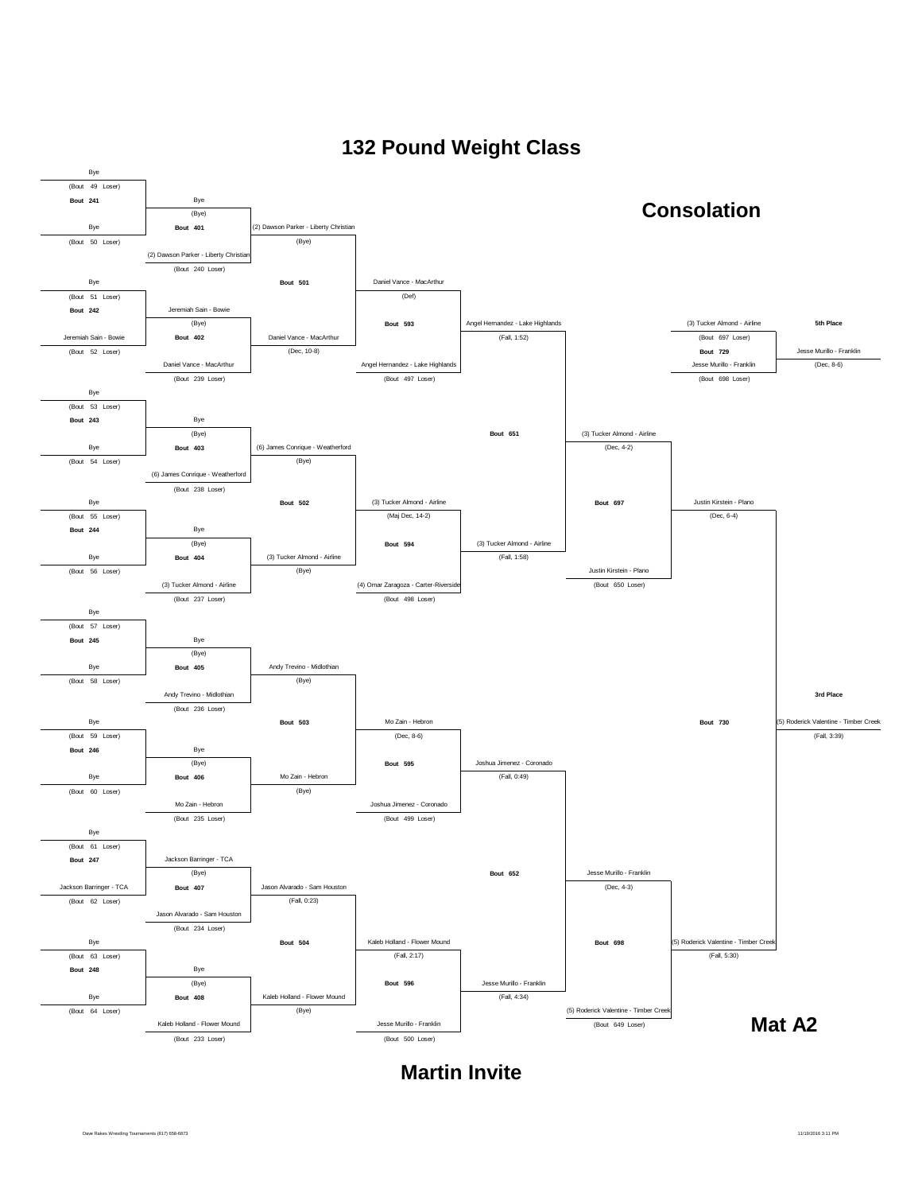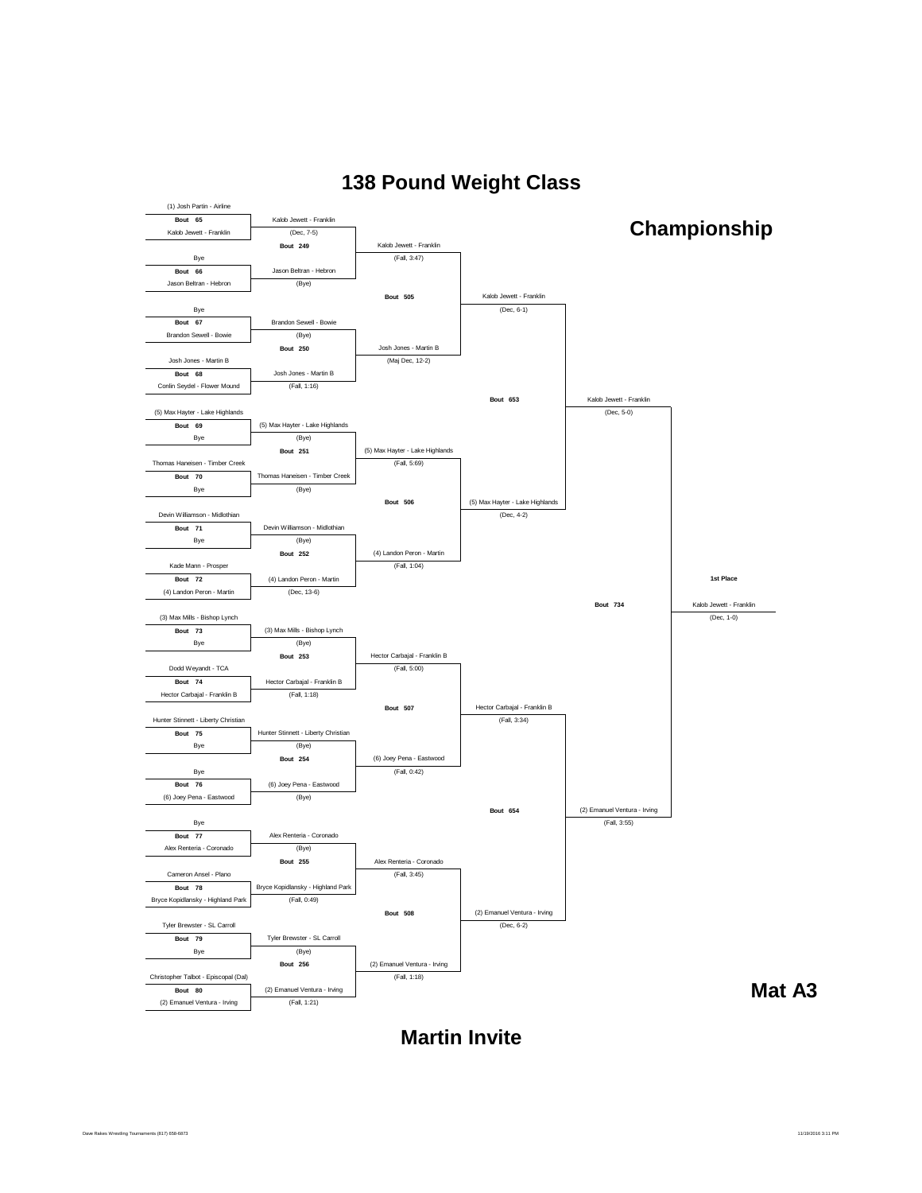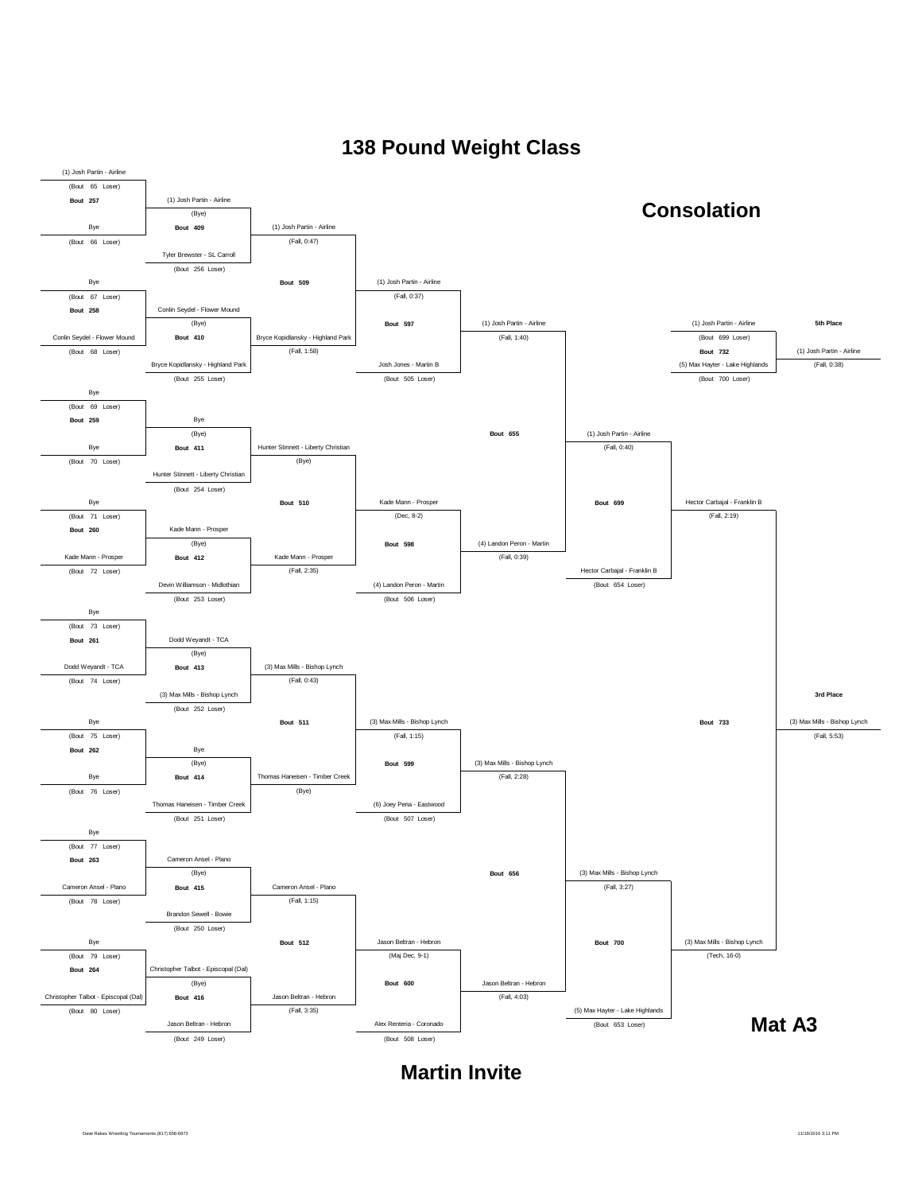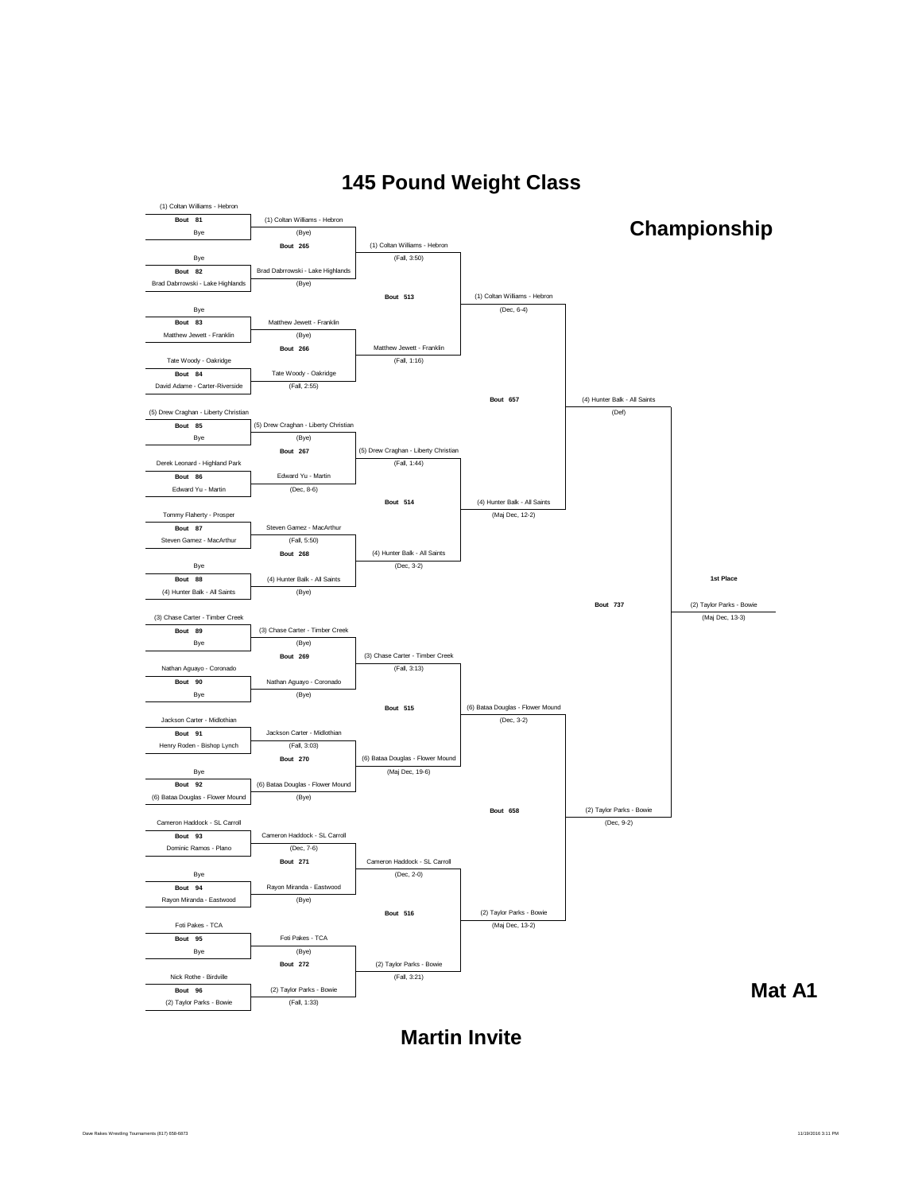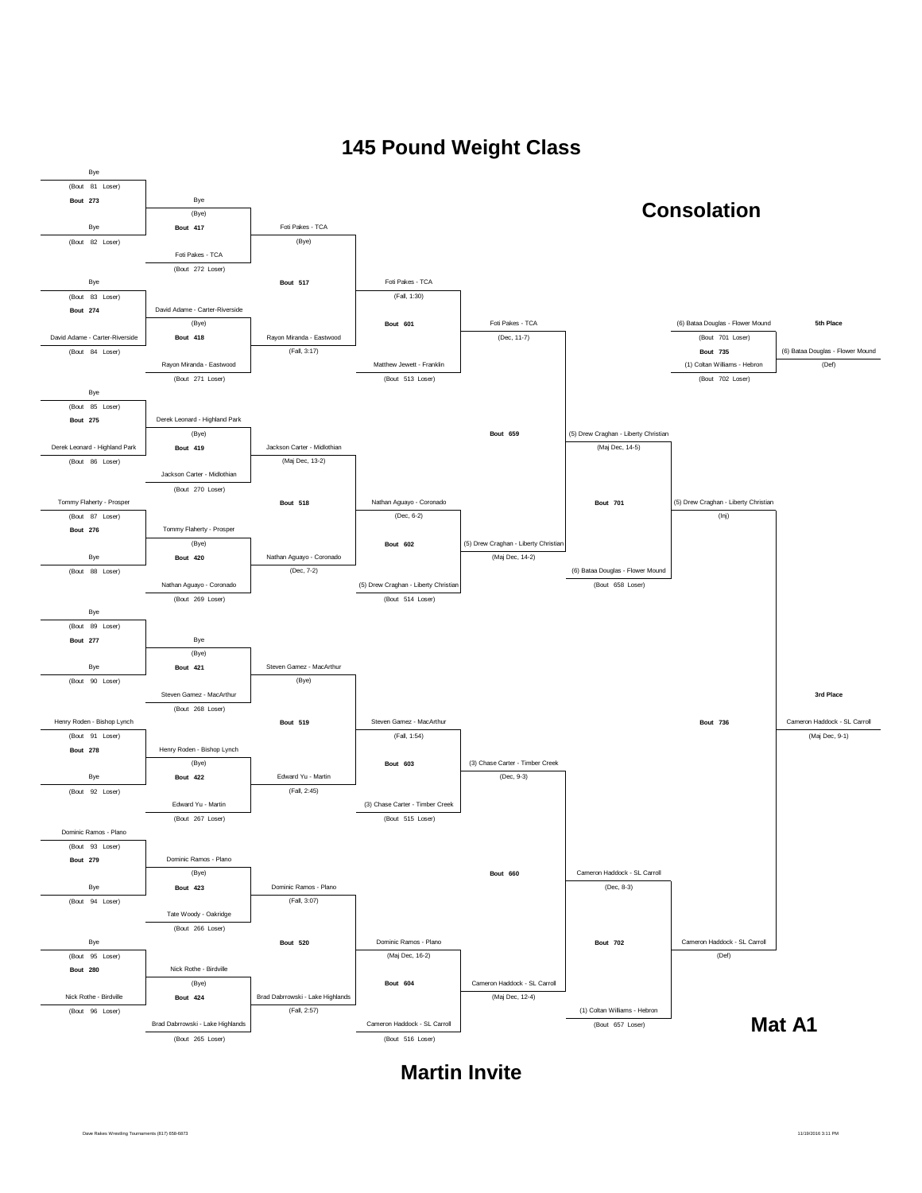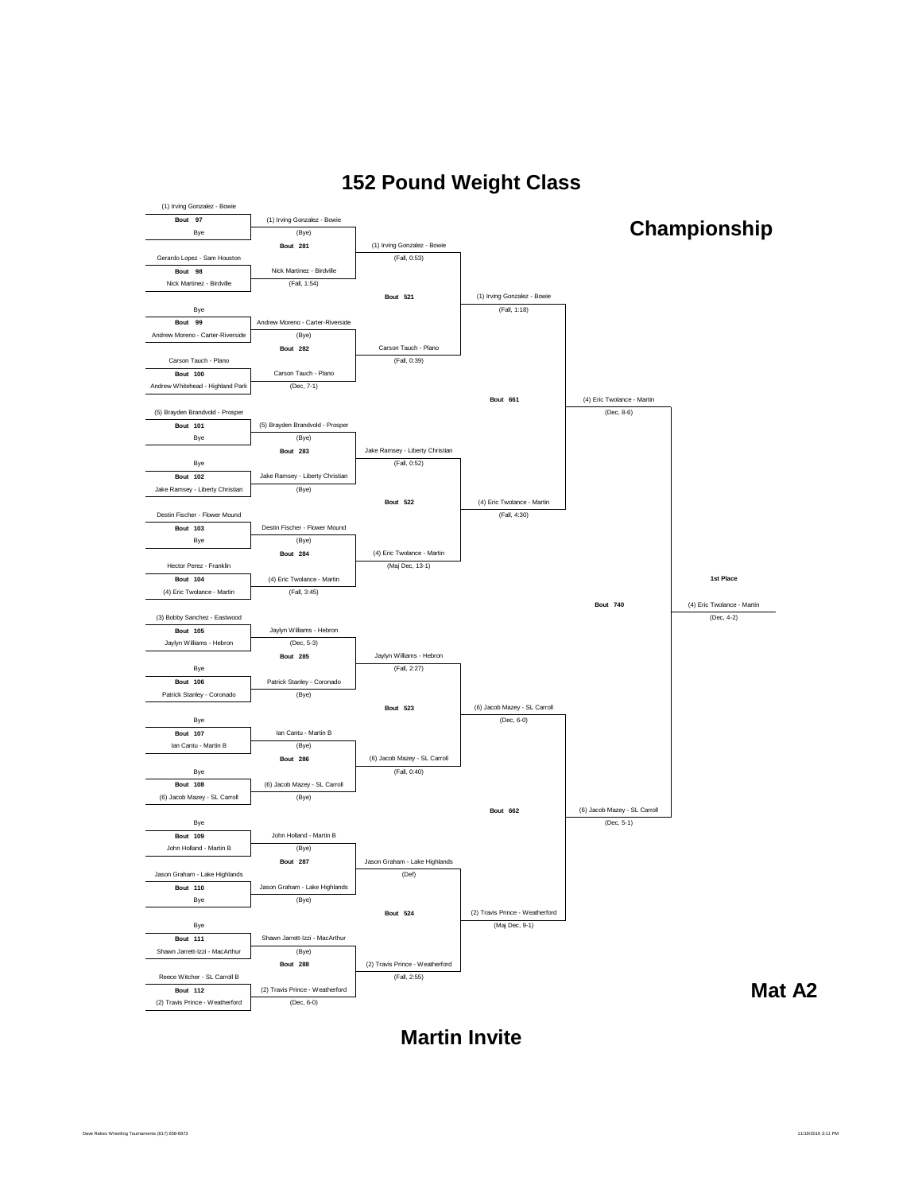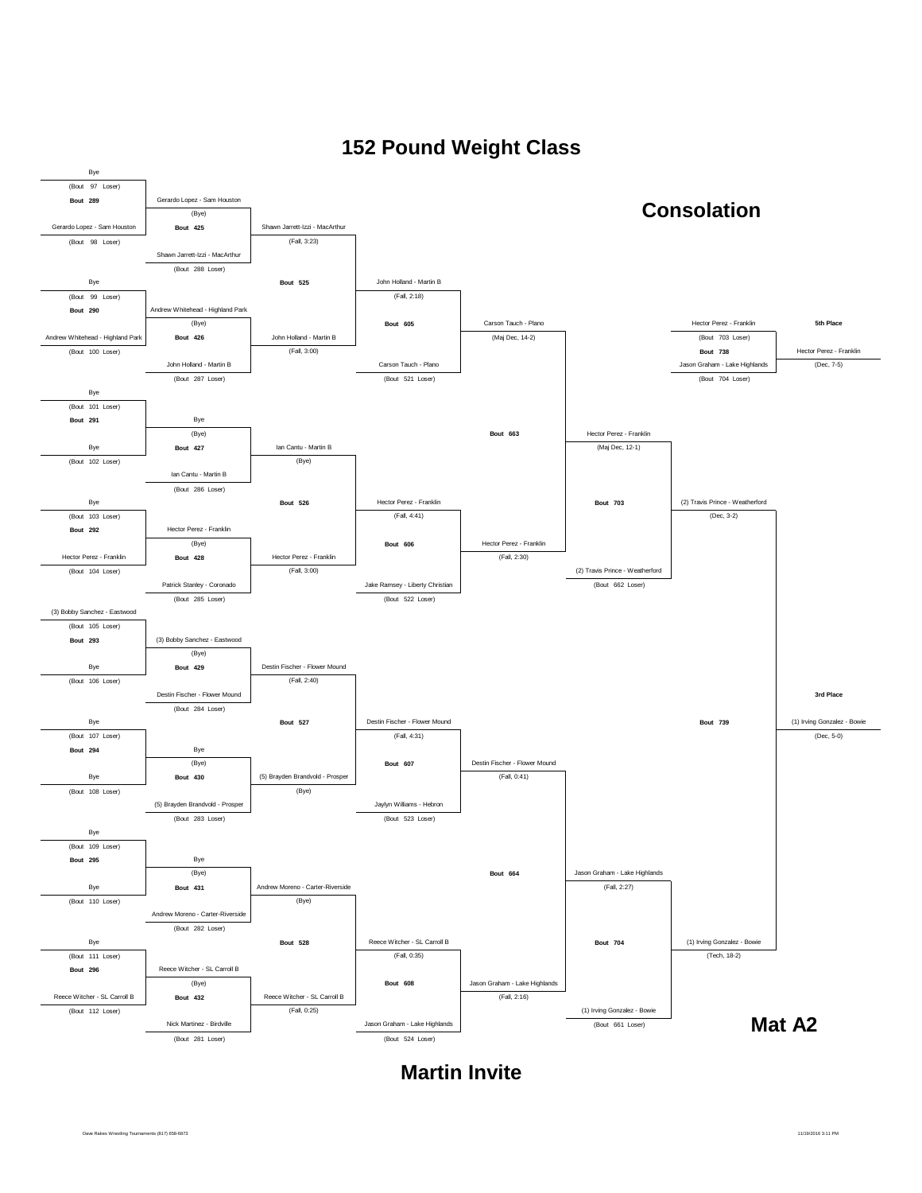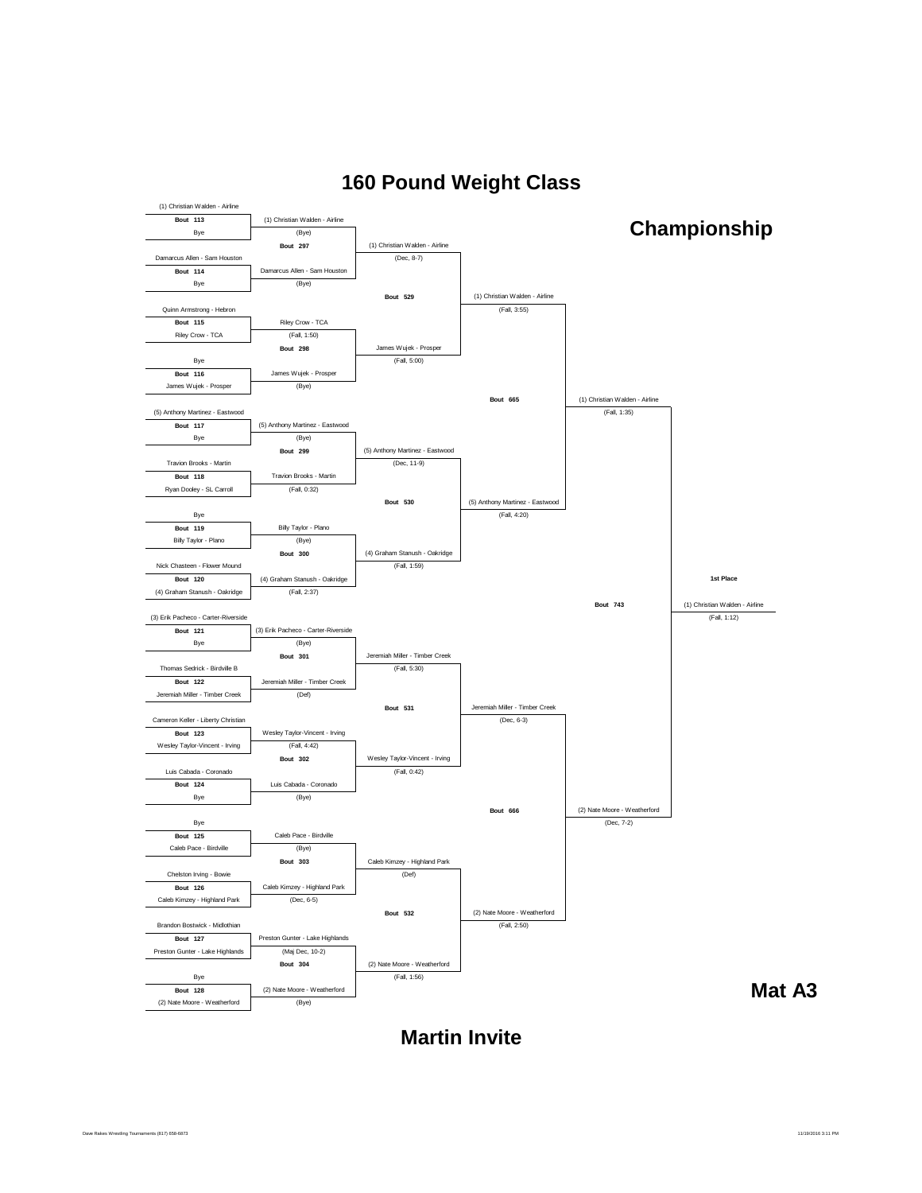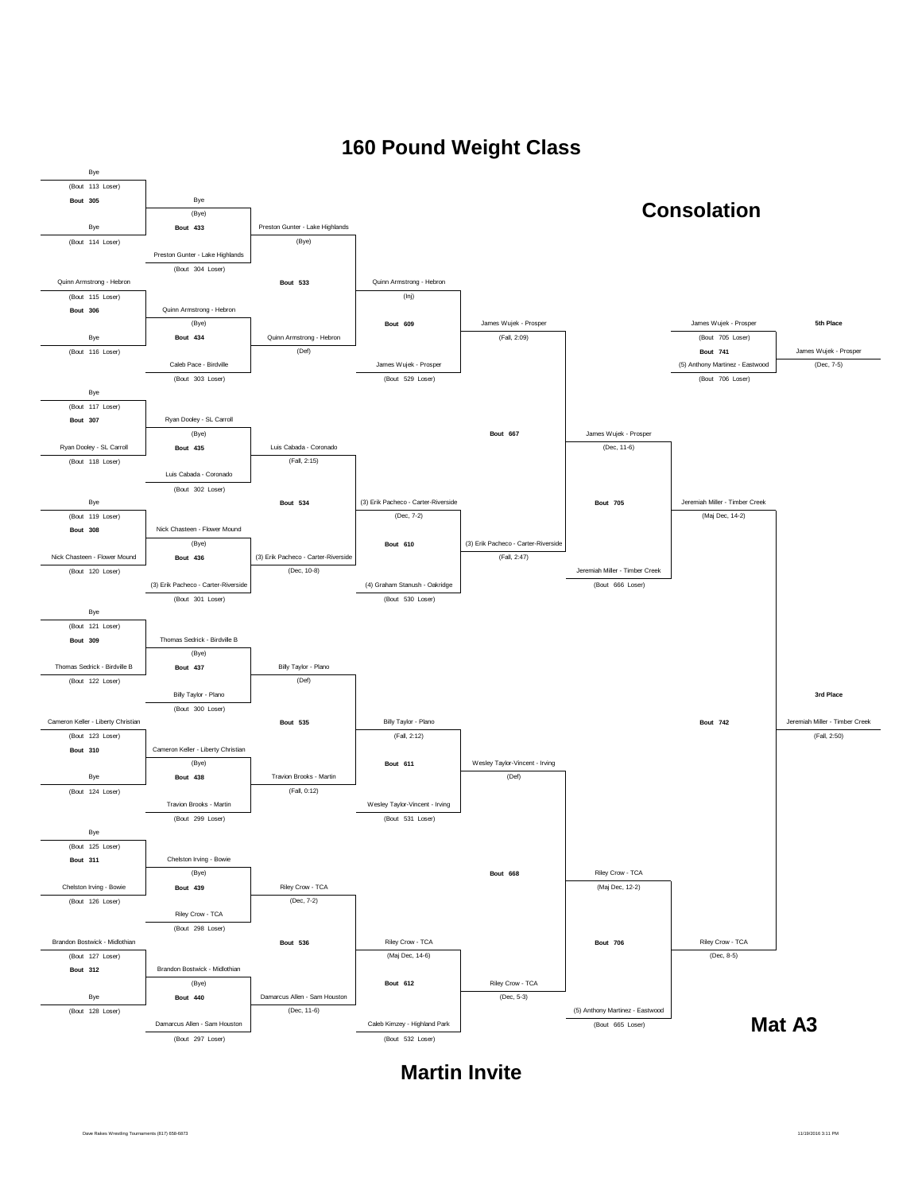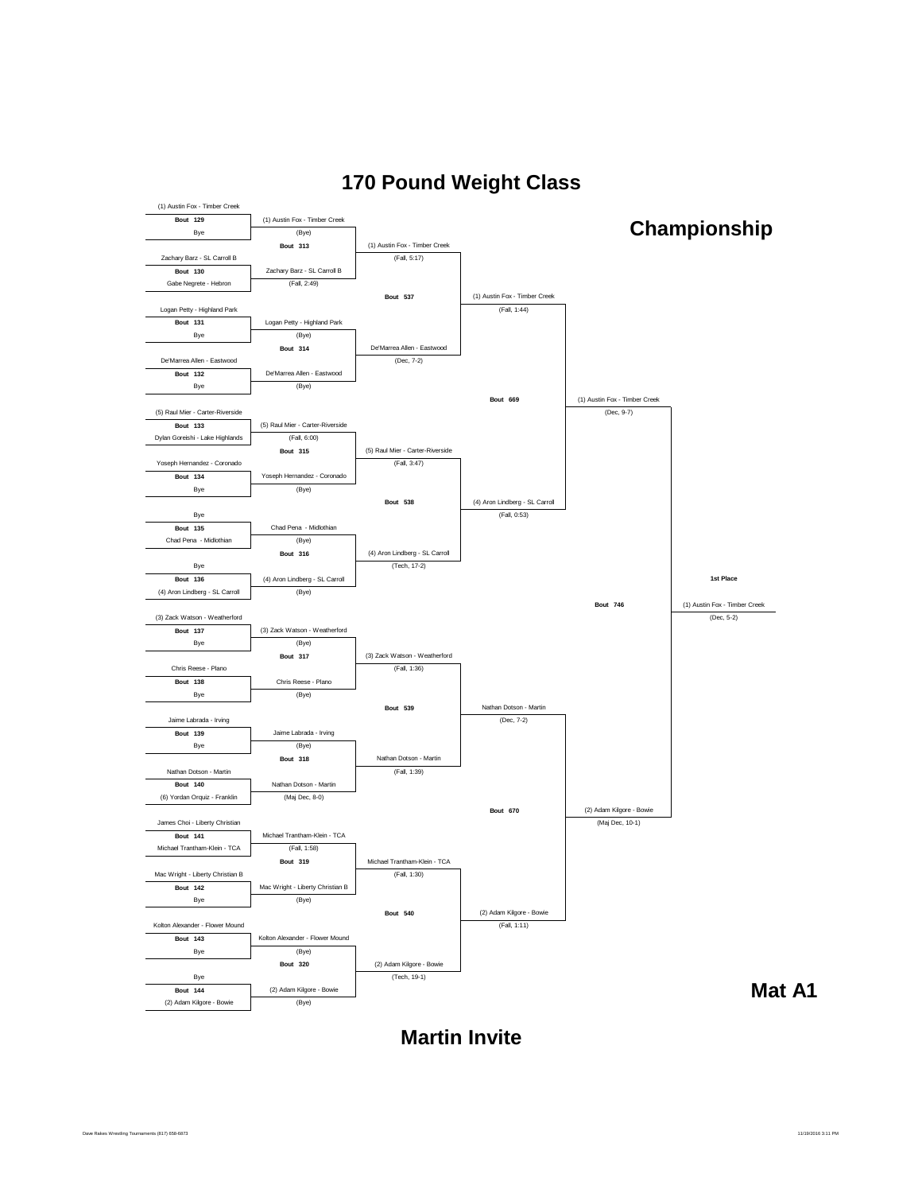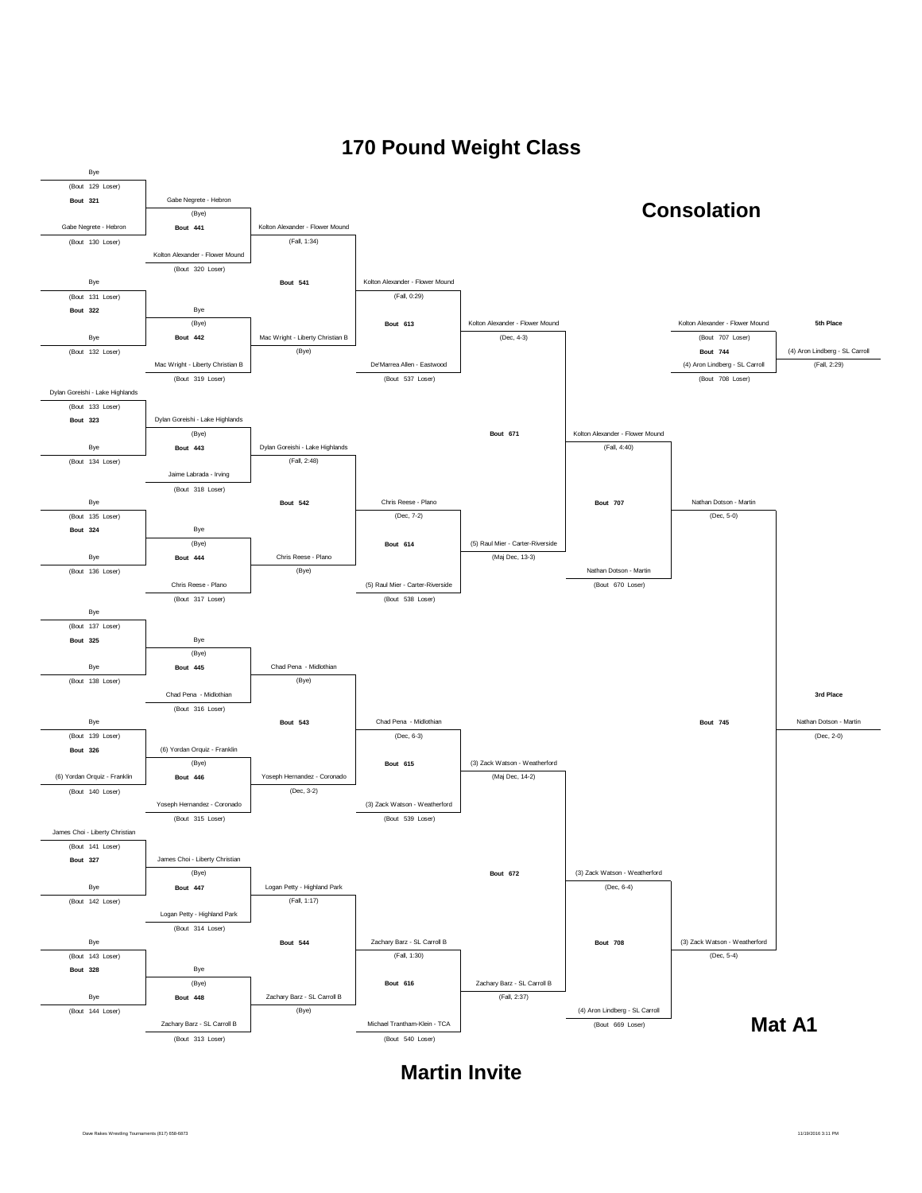

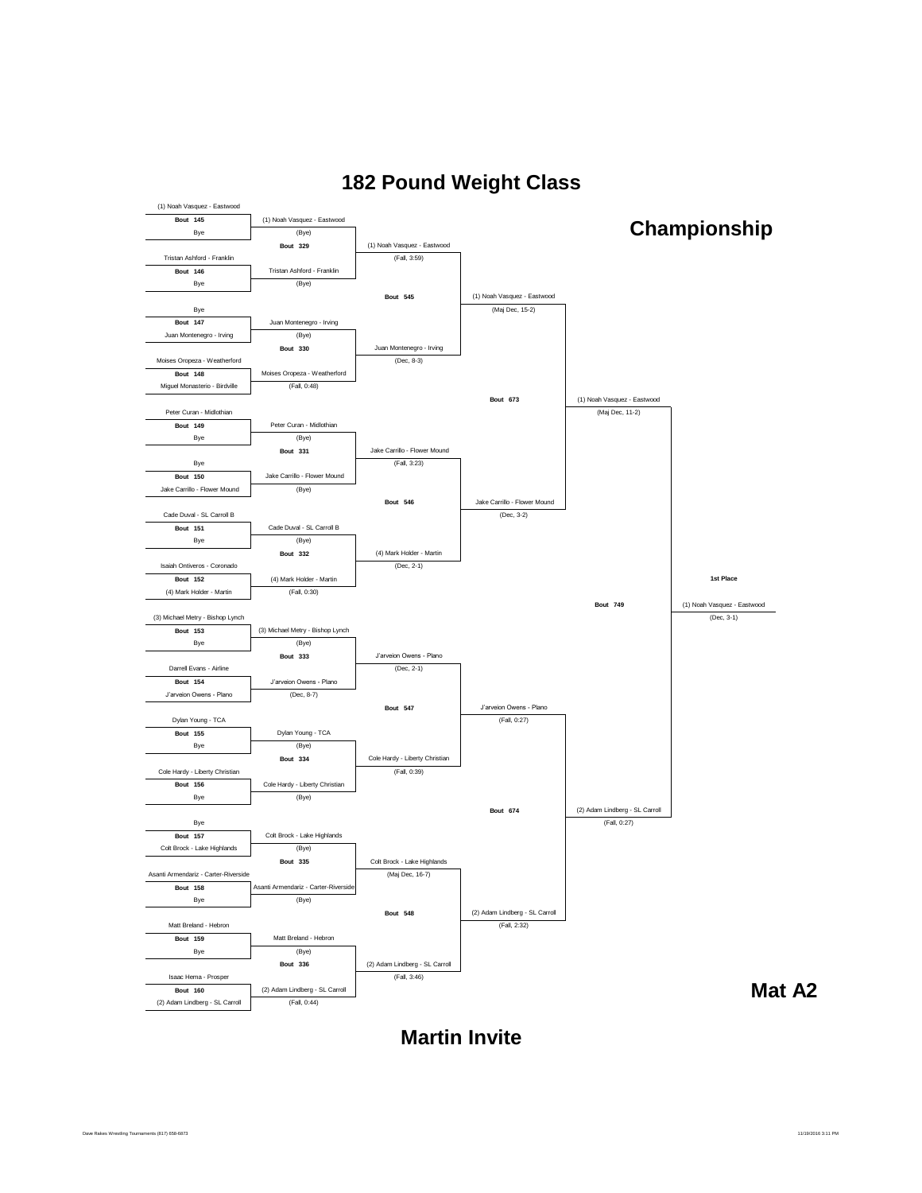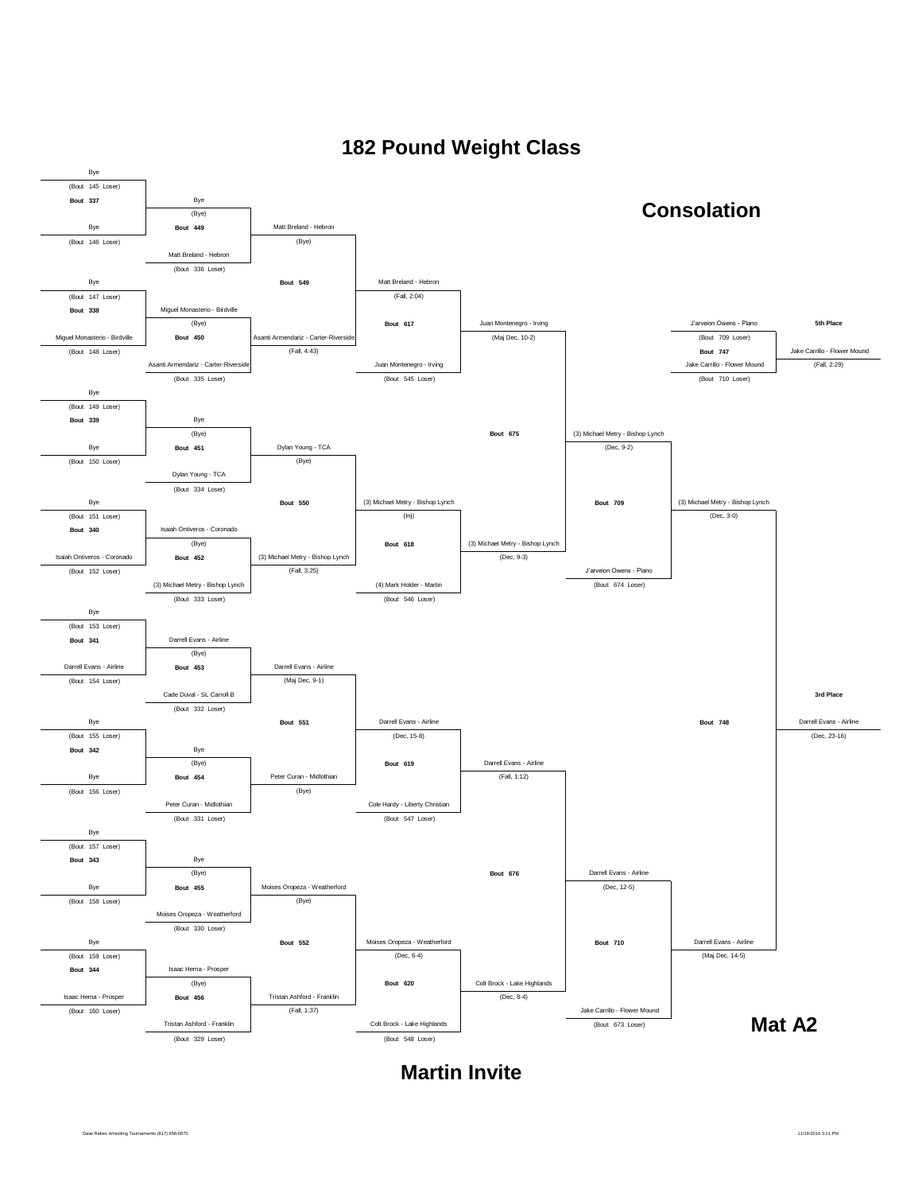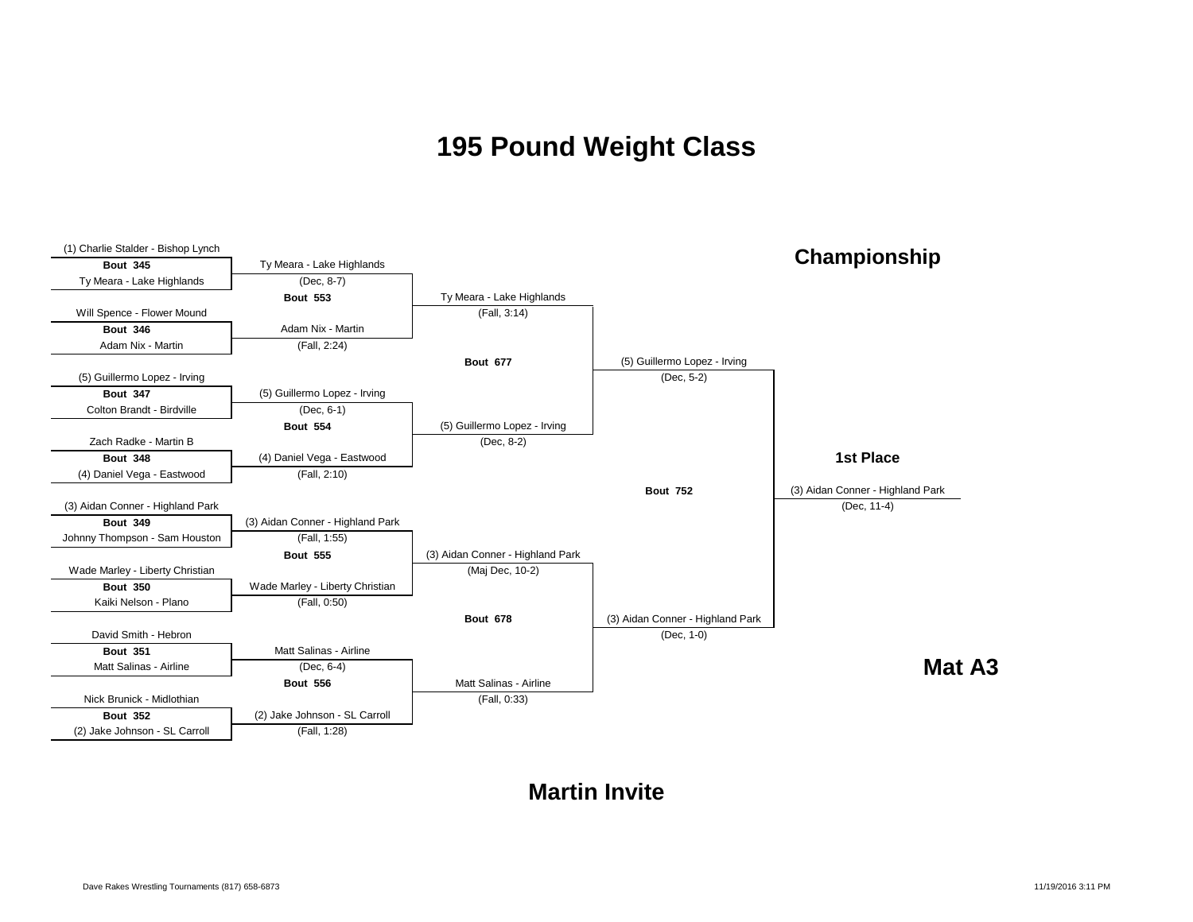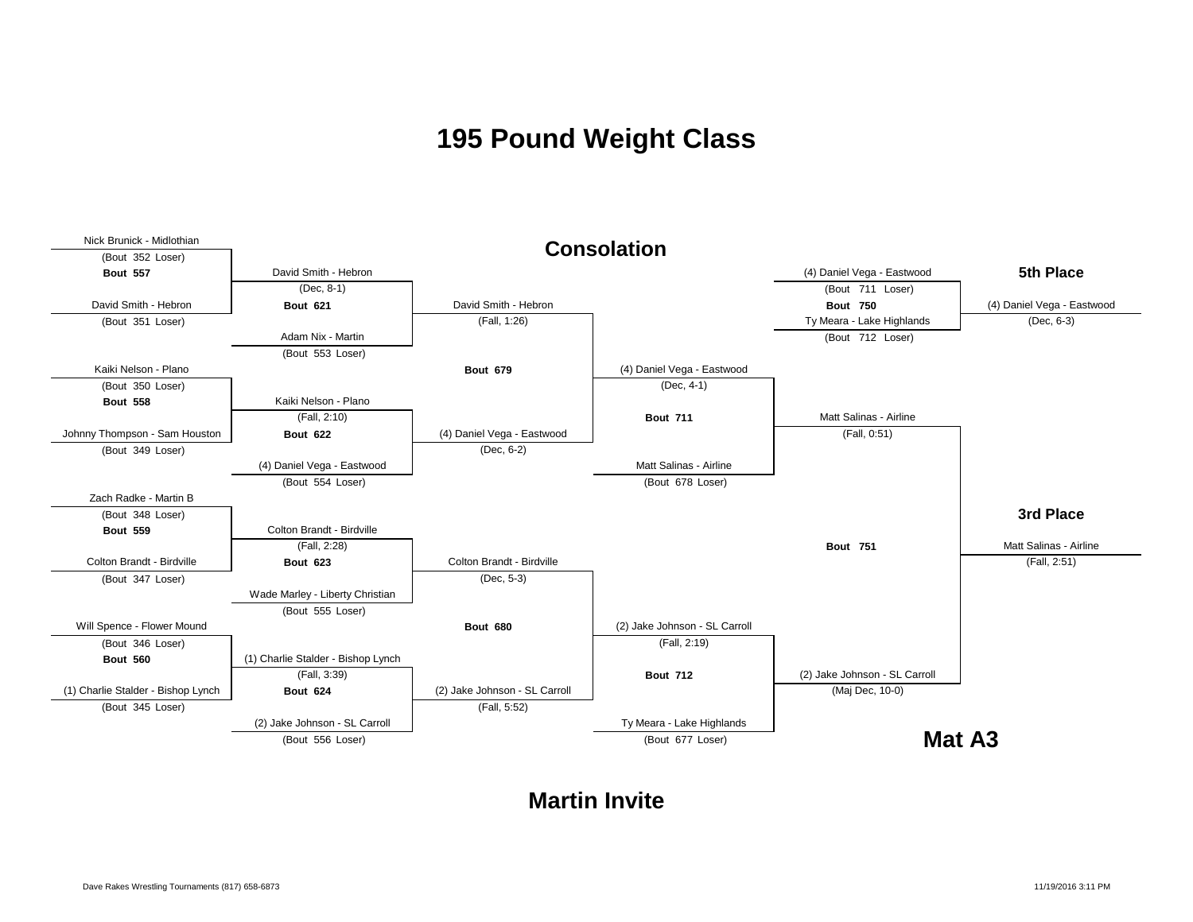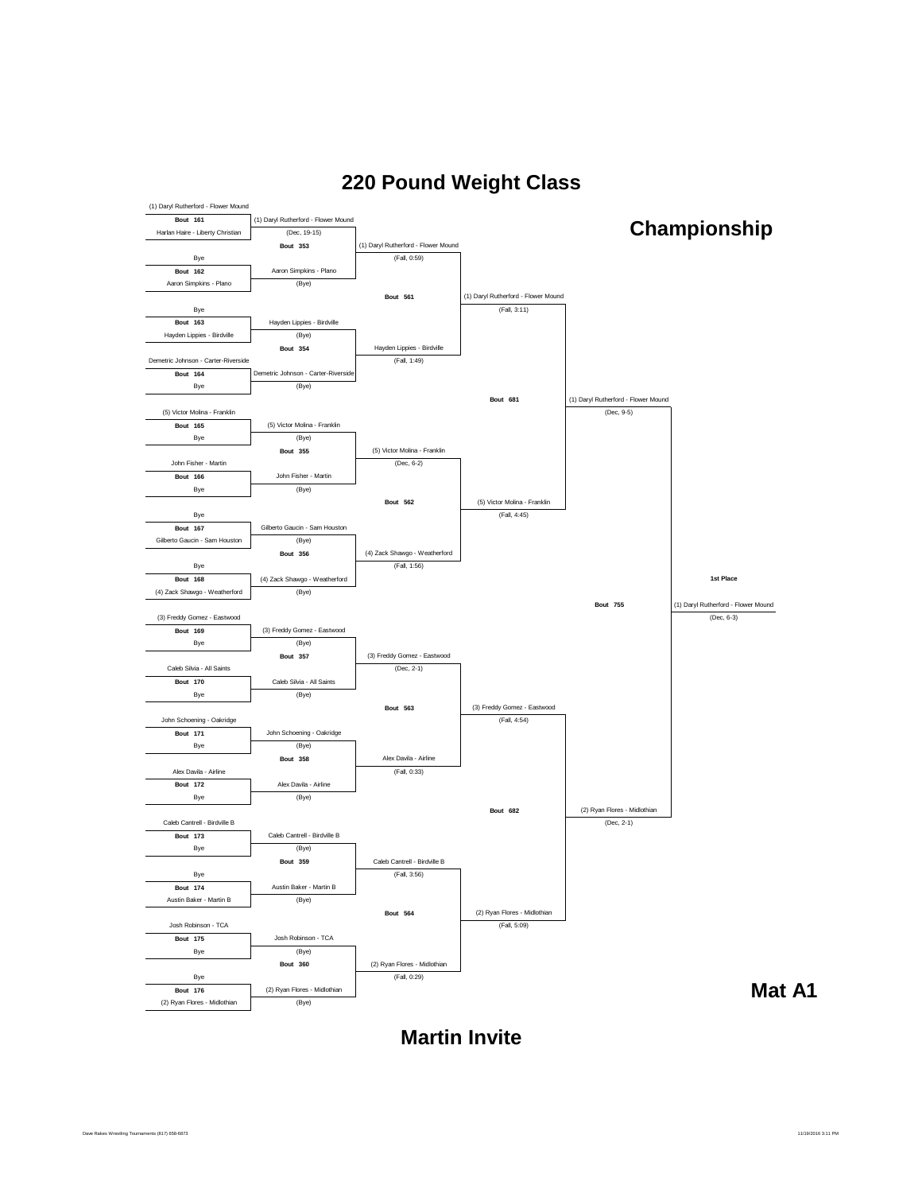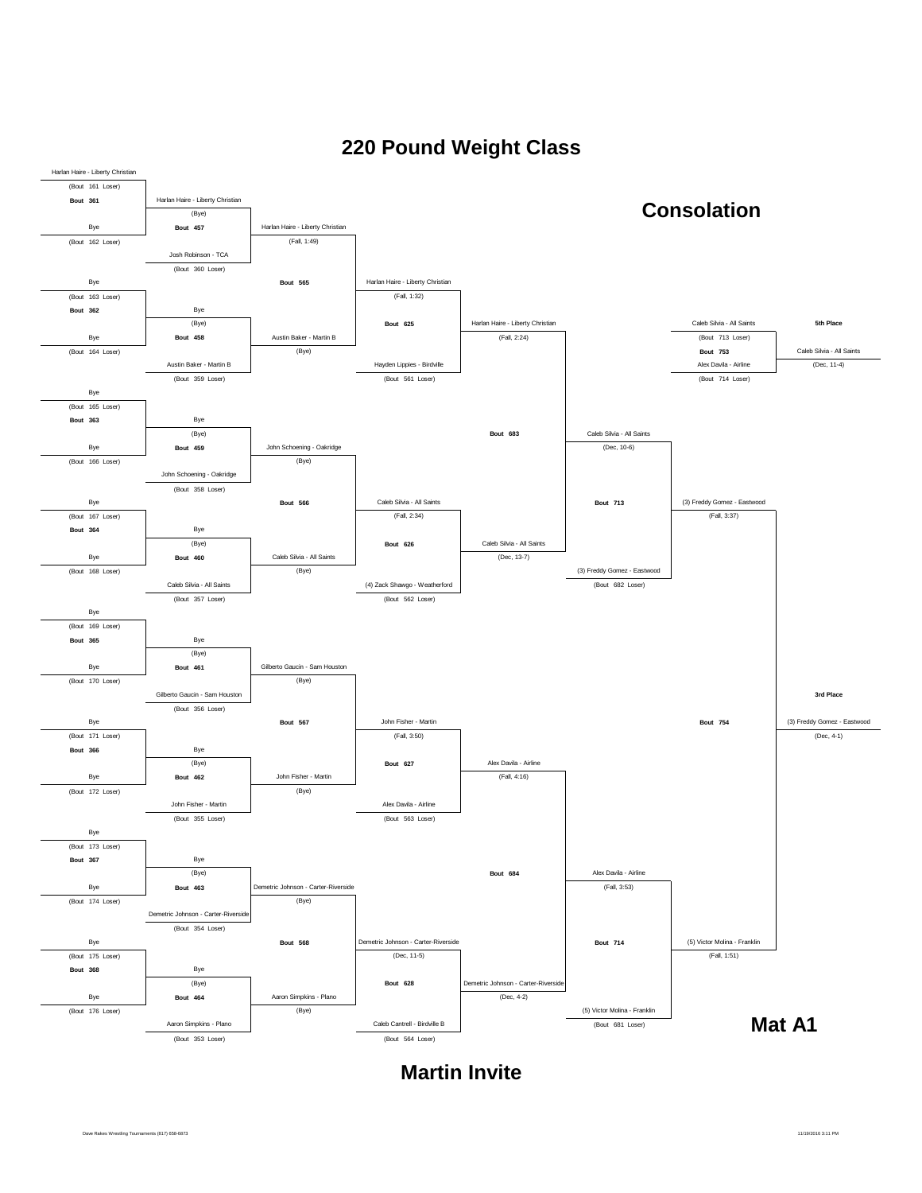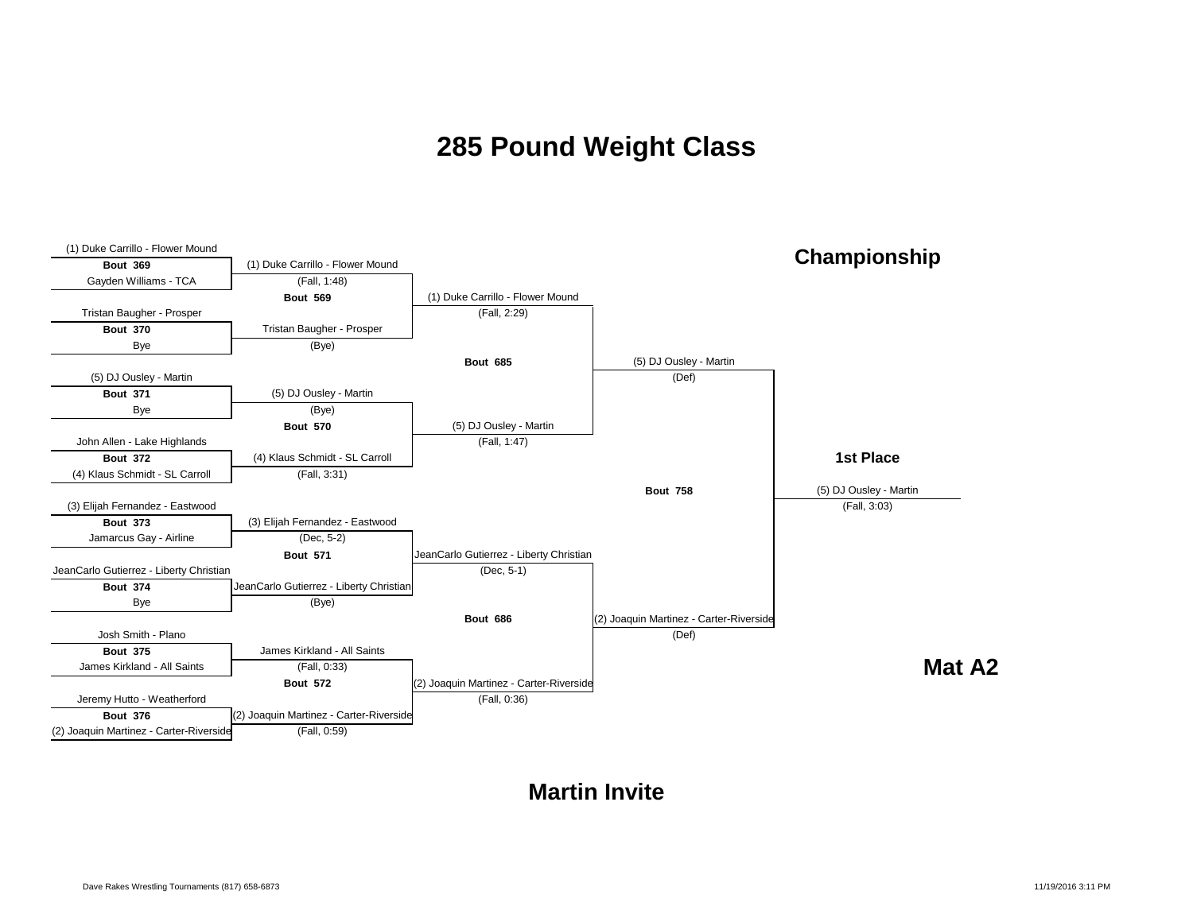